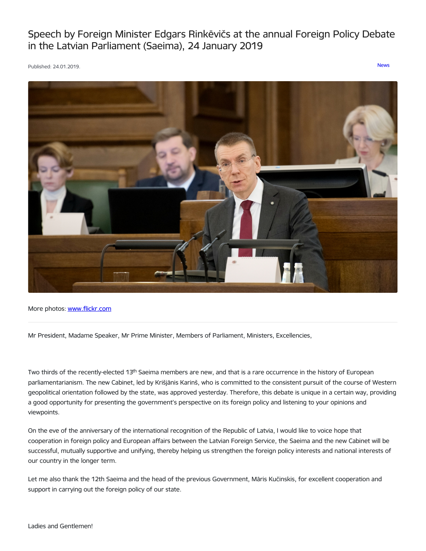Speech by Foreign Minister Edgars Rinkēvičs at the annual Foreign Policy Debate in the Latvian Parliament (Saeima), 24 January 2019

Published: 24.01.2019. [News](https://www.mfa.gov.lv/en/articles?category%255B253%255D=253)



More photos: [www.flickr.com](https://www.flickr.com/photos/latvianmfa/with/31917430007)

Mr President, Madame Speaker, Mr Prime Minister, Members of Parliament, Ministers, Excellencies,

Two thirds of the recently-elected 13<sup>th</sup> Saeima members are new, and that is a rare occurrence in the history of European parliamentarianism. The new Cabinet, led by Krišjānis Karinš, who is committed to the consistent pursuit of the course of Western geopolitical orientation followed by the state, was approved yesterday. Therefore, this debate is unique in a certain way, providing a good opportunity for presenting the government's perspective on its foreign policy and listening to your opinions and viewpoints.

On the eve of the anniversary of the international recognition of the Republic of Latvia, I would like to voice hope that cooperation in foreign policy and European affairs between the Latvian Foreign Service, the Saeima and the new Cabinet will be successful, mutually supportive and unifying, thereby helping us strengthen the foreign policy interests and national interests of our country in the longer term.

Let me also thank the 12th Saeima and the head of the previous Government, Māris Kučinskis, for excellent cooperation and support in carrying out the foreign policy of our state.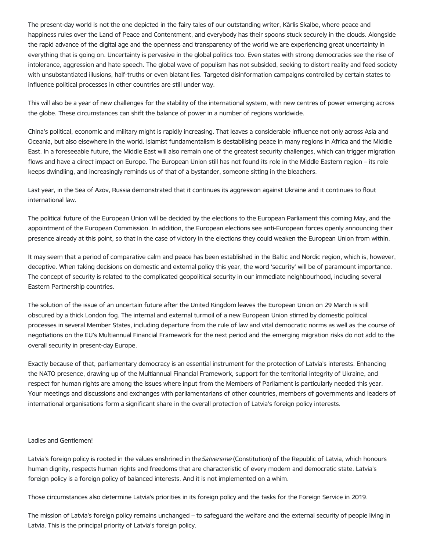The present-day world is not the one depicted in the fairy tales of our outstanding writer, Kārlis Skalbe, where peace and happiness rules over the Land of Peace and Contentment, and everybody has their spoons stuck securely in the clouds. Alongside the rapid advance of the digital age and the openness and transparency of the world we are experiencing great uncertainty in everything that is going on. Uncertainty is pervasive in the global politics too. Even states with strong democracies see the rise of intolerance, aggression and hate speech. The global wave of populism has not subsided, seeking to distort reality and feed society with unsubstantiated illusions, half-truths or even blatant lies. Targeted disinformation campaigns controlled by certain states to influence political processes in other countries are still under way.

This will also be a year of new challenges for the stability of the international system, with new centres of power emerging across the globe. These circumstances can shift the balance of power in a number of regions worldwide.

China's political, economic and military might is rapidly increasing. That leaves a considerable influence not only across Asia and Oceania, but also elsewhere in the world. Islamist fundamentalism is destabilising peace in many regions in Africa and the Middle East. In a foreseeable future, the Middle East will also remain one of the greatest security challenges, which can trigger migration flows and have a direct impact on Europe. The European Union still has not found its role in the Middle Eastern region – its role keeps dwindling, and increasingly reminds us of that of a bystander, someone sitting in the bleachers.

Last year, in the Sea of Azov, Russia demonstrated that it continues its aggression against Ukraine and it continues to flout international law.

The political future of the European Union will be decided by the elections to the European Parliament this coming May, and the appointment of the European Commission. In addition, the European elections see anti-European forces openly announcing their presence already at this point, so that in the case of victory in the elections they could weaken the European Union from within.

It may seem that a period of comparative calm and peace has been established in the Baltic and Nordic region, which is, however, deceptive. When taking decisions on domestic and external policy this year, the word 'security' will be of paramount importance. The concept of security is related to the complicated geopolitical security in our immediate neighbourhood, including several Eastern Partnership countries.

The solution of the issue of an uncertain future after the United Kingdom leaves the European Union on 29 March is still obscured by a thick London fog. The internal and external turmoil of a new European Union stirred by domestic political processes in several Member States, including departure from the rule of law and vital democratic norms as well as the course of negotiations on the EU's Multiannual Financial Framework for the next period and the emerging migration risks do not add to the overall security in present-day Europe.

Exactly because of that, parliamentary democracy is an essential instrument for the protection of Latvia's interests. Enhancing the NATO presence, drawing up of the Multiannual Financial Framework, support for the territorial integrity of Ukraine, and respect for human rights are among the issues where input from the Members of Parliament is particularly needed this year. Your meetings and discussions and exchanges with parliamentarians of other countries, members of governments and leaders of international organisations form a significant share in the overall protection of Latvia's foreign policy interests.

## Ladies and Gentlemen!

Latvia's foreign policy is rooted in the values enshrined in the Satversme (Constitution) of the Republic of Latvia, which honours human dignity, respects human rights and freedoms that are characteristic of every modern and democratic state. Latvia's foreign policy is a foreign policy of balanced interests. And it is not implemented on a whim.

Those circumstances also determine Latvia's priorities in its foreign policy and the tasks for the Foreign Service in 2019.

The mission of Latvia's foreign policy remains unchanged – to safeguard the welfare and the external security of people living in Latvia. This is the principal priority of Latvia's foreign policy.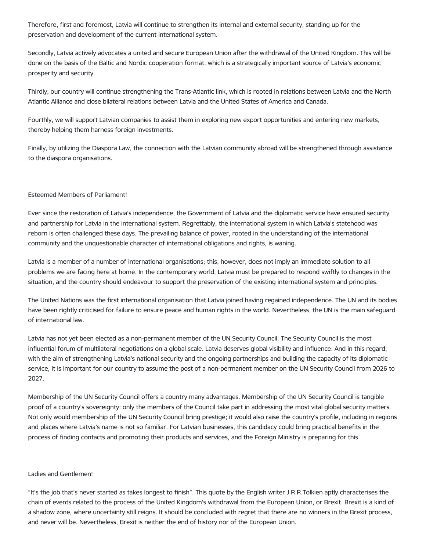Therefore, first and foremost, Latvia will continue to strengthen its internal and external security, standing up for the preservation and development of the current international system.

Secondly, Latvia actively advocates a united and secure European Union after the withdrawal of the United Kingdom. This will be done on the basis of the Baltic and Nordic cooperation format, which is a strategically important source of Latvia's economic prosperity and security.

Thirdly, our country will continue strengthening the Trans-Atlantic link, which is rooted in relations between Latvia and the North Atlantic Alliance and close bilateral relations between Latvia and the United States of America and Canada.

Fourthly, we will support Latvian companies to assist them in exploring new export opportunities and entering new markets, thereby helping them harness foreign investments.

Finally, by utilizing the Diaspora Law, the connection with the Latvian community abroad will be strengthened through assistance to the diaspora organisations.

## Esteemed Members of Parliament!

Ever since the restoration of Latvia's independence, the Government of Latvia and the diplomatic service have ensured security and partnership for Latvia in the international system. Regrettably, the international system in which Latvia's statehood was reborn is often challenged these days. The prevailing balance of power, rooted in the understanding of the international community and the unquestionable character of international obligations and rights, is waning.

Latvia is a member of a number of international organisations; this, however, does not imply an immediate solution to all problems we are facing here at home. In the contemporary world, Latvia must be prepared to respond swiftly to changes in the situation, and the country should endeavour to support the preservation of the existing international system and principles.

The United Nations was the first international organisation that Latvia joined having regained independence. The UN and its bodies have been rightly criticised for failure to ensure peace and human rights in the world. Nevertheless, the UN is the main safeguard of international law.

Latvia has not yet been elected as a non-permanent member of the UN Security Council. The Security Council is the most influential forum of multilateral negotiations on a global scale. Latvia deserves global visibility and influence. And in this regard, with the aim of strengthening Latvia's national security and the ongoing partnerships and building the capacity of its diplomatic service, it is important for our country to assume the post of a non-permanent member on the UN Security Council from 2026 to 2027.

Membership of the UN Security Council offers a country many advantages. Membership of the UN Security Council is tangible proof of a country's sovereignty: only the members of the Council take part in addressing the most vital global security matters. Not only would membership of the UN Security Council bring prestige; it would also raise the country's profile, including in regions and places where Latvia's name is not so familiar. For Latvian businesses, this candidacy could bring practical benefits in the process of finding contacts and promoting their products and services, and the Foreign Ministry is preparing for this.

## Ladies and Gentlemen!

"It's the job that's never started as takes longest to finish". This quote by the English writer J.R.R.Tolkien aptly characterises the chain of events related to the process of the United Kingdom's withdrawal from the European Union, or Brexit. Brexit is a kind of a shadow zone, where uncertainty still reigns. It should be concluded with regret that there are no winners in the Brexit process, and never will be. Nevertheless, Brexit is neither the end of history nor of the European Union.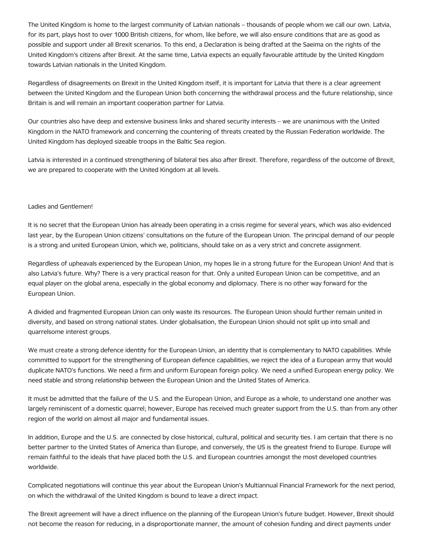The United Kingdom is home to the largest community of Latvian nationals – thousands of people whom we call our own. Latvia, for its part, plays host to over 1000 British citizens, for whom, like before, we will also ensure conditions that are as good as possible and support under all Brexit scenarios. To this end, a Declaration is being drafted at the Saeima on the rights of the United Kingdom's citizens after Brexit. At the same time, Latvia expects an equally favourable attitude by the United Kingdom towards Latvian nationals in the United Kingdom.

Regardless of disagreements on Brexit in the United Kingdom itself, it is important for Latvia that there is a clear agreement between the United Kingdom and the European Union both concerning the withdrawal process and the future relationship, since Britain is and will remain an important cooperation partner for Latvia.

Our countries also have deep and extensive business links and shared security interests – we are unanimous with the United Kingdom in the NATO framework and concerning the countering of threats created by the Russian Federation worldwide. The United Kingdom has deployed sizeable troops in the Baltic Sea region.

Latvia is interested in a continued strengthening of bilateral ties also after Brexit. Therefore, regardless of the outcome of Brexit, we are prepared to cooperate with the United Kingdom at all levels.

## Ladies and Gentlemen!

It is no secret that the European Union has already been operating in a crisis regime for several years, which was also evidenced last year, by the European Union citizens' consultations on the future of the European Union. The principal demand of our people is a strong and united European Union, which we, politicians, should take on as a very strict and concrete assignment.

Regardless of upheavals experienced by the European Union, my hopes lie in a strong future for the European Union! And that is also Latvia's future. Why? There is a very practical reason for that. Only a united European Union can be competitive, and an equal player on the global arena, especially in the global economy and diplomacy. There is no other way forward for the European Union.

A divided and fragmented European Union can only waste its resources. The European Union should further remain united in diversity, and based on strong national states. Under globalisation, the European Union should not split up into small and quarrelsome interest groups.

We must create a strong defence identity for the European Union, an identity that is complementary to NATO capabilities. While committed to support for the strengthening of European defence capabilities, we reject the idea of a European army that would duplicate NATO's functions. We need a firm and uniform European foreign policy. We need a unified European energy policy. We need stable and strong relationship between the European Union and the United States of America.

It must be admitted that the failure of the U.S. and the European Union, and Europe as a whole, to understand one another was largely reminiscent of a domestic quarrel; however, Europe has received much greater support from the U.S. than from any other region of the world on almost all major and fundamental issues.

In addition, Europe and the U.S. are connected by close historical, cultural, political and security ties. I am certain that there is no better partner to the United States of America than Europe, and conversely, the US is the greatest friend to Europe. Europe will remain faithful to the ideals that have placed both the U.S. and European countries amongst the most developed countries worldwide.

Complicated negotiations will continue this year about the European Union's Multiannual Financial Framework for the next period, on which the withdrawal of the United Kingdom is bound to leave a direct impact.

The Brexit agreement will have a direct influence on the planning of the European Union's future budget. However, Brexit should not become the reason for reducing, in a disproportionate manner, the amount of cohesion funding and direct payments under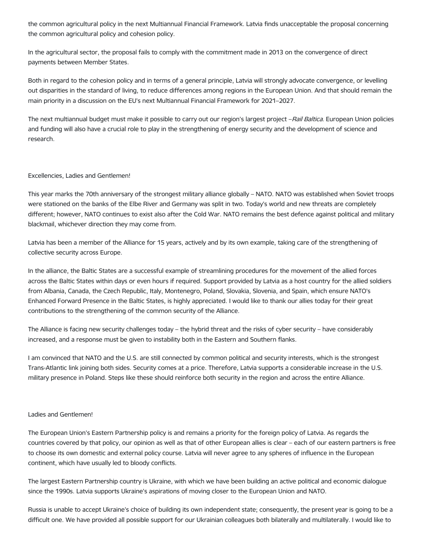the common agricultural policy in the next Multiannual Financial Framework. Latvia finds unacceptable the proposal concerning the common agricultural policy and cohesion policy.

In the agricultural sector, the proposal fails to comply with the commitment made in 2013 on the convergence of direct payments between Member States.

Both in regard to the cohesion policy and in terms of a general principle, Latvia will strongly advocate convergence, or levelling out disparities in the standard of living, to reduce differences among regions in the European Union. And that should remain the main priority in a discussion on the EU's next Multiannual Financial Framework for 2021–2027.

The next multiannual budget must make it possible to carry out our region's largest project -Rail Baltica. European Union policies and funding will also have a crucial role to play in the strengthening of energy security and the development of science and research.

## Excellencies, Ladies and Gentlemen!

This year marks the 70th anniversary of the strongest military alliance globally – NATO. NATO was established when Soviet troops were stationed on the banks of the Elbe River and Germany was split in two. Today's world and new threats are completely different; however, NATO continues to exist also after the Cold War. NATO remains the best defence against political and military blackmail, whichever direction they may come from.

Latvia has been a member of the Alliance for 15 years, actively and by its own example, taking care of the strengthening of collective security across Europe.

In the alliance, the Baltic States are a successful example of streamlining procedures for the movement of the allied forces across the Baltic States within days or even hours if required. Support provided by Latvia as a host country for the allied soldiers from Albania, Canada, the Czech Republic, Italy, Montenegro, Poland, Slovakia, Slovenia, and Spain, which ensure NATO's Enhanced Forward Presence in the Baltic States, is highly appreciated. I would like to thank our allies today for their great contributions to the strengthening of the common security of the Alliance.

The Alliance is facing new security challenges today – the hybrid threat and the risks of cyber security – have considerably increased, and a response must be given to instability both in the Eastern and Southern flanks.

I am convinced that NATO and the U.S. are still connected by common political and security interests, which is the strongest Trans-Atlantic link joining both sides. Security comes at a price. Therefore, Latvia supports a considerable increase in the U.S. military presence in Poland. Steps like these should reinforce both security in the region and across the entire Alliance.

## Ladies and Gentlemen!

The European Union's Eastern Partnership policy is and remains a priority for the foreign policy of Latvia. As regards the countries covered by that policy, our opinion as well as that of other European allies is clear – each of our eastern partners is free to choose its own domestic and external policy course. Latvia will never agree to any spheres of influence in the European continent, which have usually led to bloody conflicts.

The largest Eastern Partnership country is Ukraine, with which we have been building an active political and economic dialogue since the 1990s. Latvia supports Ukraine's aspirations of moving closer to the European Union and NATO.

Russia is unable to accept Ukraine's choice of building its own independent state; consequently, the present year is going to be a difficult one. We have provided all possible support for our Ukrainian colleagues both bilaterally and multilaterally. I would like to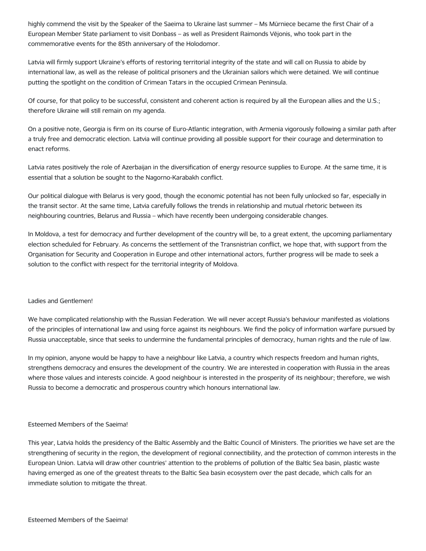highly commend the visit by the Speaker of the Saeima to Ukraine last summer – Ms Mūrniece became the first Chair of a European Member State parliament to visit Donbass – as well as President Raimonds Vējonis, who took part in the commemorative events for the 85th anniversary of the Holodomor.

Latvia will firmly support Ukraine's efforts of restoring territorial integrity of the state and will call on Russia to abide by international law, as well as the release of political prisoners and the Ukrainian sailors which were detained. We will continue putting the spotlight on the condition of Crimean Tatars in the occupied Crimean Peninsula.

Of course, for that policy to be successful, consistent and coherent action is required by all the European allies and the U.S.; therefore Ukraine will still remain on my agenda.

On a positive note, Georgia is firm on its course of Euro-Atlantic integration, with Armenia vigorously following a similar path after a truly free and democratic election. Latvia will continue providing all possible support for their courage and determination to enact reforms.

Latvia rates positively the role of Azerbaijan in the diversification of energy resource supplies to Europe. At the same time, it is essential that a solution be sought to the Nagorno-Karabakh conflict.

Our political dialogue with Belarus is very good, though the economic potential has not been fully unlocked so far, especially in the transit sector. At the same time, Latvia carefully follows the trends in relationship and mutual rhetoric between its neighbouring countries, Belarus and Russia – which have recently been undergoing considerable changes.

In Moldova, a test for democracy and further development of the country will be, to a great extent, the upcoming parliamentary election scheduled for February. As concerns the settlement of the Transnistrian conflict, we hope that, with support from the Organisation for Security and Cooperation in Europe and other international actors, further progress will be made to seek a solution to the conflict with respect for the territorial integrity of Moldova.

## Ladies and Gentlemen!

We have complicated relationship with the Russian Federation. We will never accept Russia's behaviour manifested as violations of the principles of international law and using force against its neighbours. We find the policy of information warfare pursued by Russia unacceptable, since that seeks to undermine the fundamental principles of democracy, human rights and the rule of law.

In my opinion, anyone would be happy to have a neighbour like Latvia, a country which respects freedom and human rights, strengthens democracy and ensures the development of the country. We are interested in cooperation with Russia in the areas where those values and interests coincide. A good neighbour is interested in the prosperity of its neighbour; therefore, we wish Russia to become a democratic and prosperous country which honours international law.

## Esteemed Members of the Saeima!

This year, Latvia holds the presidency of the Baltic Assembly and the Baltic Council of Ministers. The priorities we have set are the strengthening of security in the region, the development of regional connectibility, and the protection of common interests in the European Union. Latvia will draw other countries' attention to the problems of pollution of the Baltic Sea basin, plastic waste having emerged as one of the greatest threats to the Baltic Sea basin ecosystem over the past decade, which calls for an immediate solution to mitigate the threat.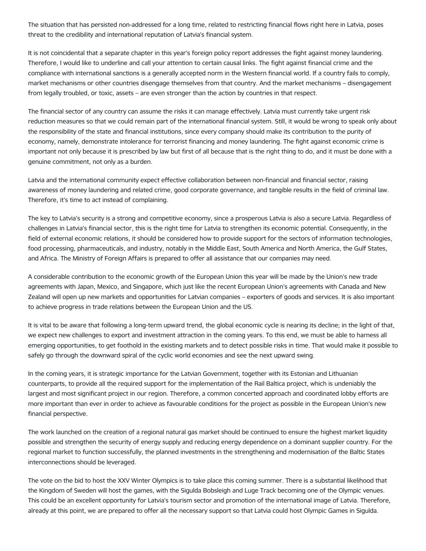The situation that has persisted non-addressed for a long time, related to restricting financial flows right here in Latvia, poses threat to the credibility and international reputation of Latvia's financial system.

It is not coincidental that a separate chapter in this year's foreign policy report addresses the fight against money laundering. Therefore, I would like to underline and call your attention to certain causal links. The fight against financial crime and the compliance with international sanctions is a generally accepted norm in the Western financial world. If a country fails to comply, market mechanisms or other countries disengage themselves from that country. And the market mechanisms – disengagement from legally troubled, or toxic, assets – are even stronger than the action by countries in that respect.

The financial sector of any country can assume the risks it can manage effectively. Latvia must currently take urgent risk reduction measures so that we could remain part of the international financial system. Still, it would be wrong to speak only about the responsibility of the state and financial institutions, since every company should make its contribution to the purity of economy, namely, demonstrate intolerance for terrorist financing and money laundering. The fight against economic crime is important not only because it is prescribed by law but first of all because that is the right thing to do, and it must be done with a genuine commitment, not only as a burden.

Latvia and the international community expect effective collaboration between non-financial and financial sector, raising awareness of money laundering and related crime, good corporate governance, and tangible results in the field of criminal law. Therefore, it's time to act instead of complaining.

The key to Latvia's security is a strong and competitive economy, since a prosperous Latvia is also a secure Latvia. Regardless of challenges in Latvia's financial sector, this is the right time for Latvia to strengthen its economic potential. Consequently, in the field of external economic relations, it should be considered how to provide support for the sectors of information technologies, food processing, pharmaceuticals, and industry, notably in the Middle East, South America and North America, the Gulf States, and Africa. The Ministry of Foreign Affairs is prepared to offer all assistance that our companies may need.

A considerable contribution to the economic growth of the European Union this year will be made by the Union's new trade agreements with Japan, Mexico, and Singapore, which just like the recent European Union's agreements with Canada and New Zealand will open up new markets and opportunities for Latvian companies – exporters of goods and services. It is also important to achieve progress in trade relations between the European Union and the US.

It is vital to be aware that following a long-term upward trend, the global economic cycle is nearing its decline; in the light of that, we expect new challenges to export and investment attraction in the coming years. To this end, we must be able to harness all emerging opportunities, to get foothold in the existing markets and to detect possible risks in time. That would make it possible to safely go through the downward spiral of the cyclic world economies and see the next upward swing.

In the coming years, it is strategic importance for the Latvian Government, together with its Estonian and Lithuanian counterparts, to provide all the required support for the implementation of the Rail Baltica project, which is undeniably the largest and most significant project in our region. Therefore, a common concerted approach and coordinated lobby efforts are more important than ever in order to achieve as favourable conditions for the project as possible in the European Union's new financial perspective.

The work launched on the creation of a regional natural gas market should be continued to ensure the highest market liquidity possible and strengthen the security of energy supply and reducing energy dependence on a dominant supplier country. For the regional market to function successfully, the planned investments in the strengthening and modernisation of the Baltic States interconnections should be leveraged.

The vote on the bid to host the XXV Winter Olympics is to take place this coming summer. There is a substantial likelihood that the Kingdom of Sweden will host the games, with the Sigulda Bobsleigh and Luge Track becoming one of the Olympic venues. This could be an excellent opportunity for Latvia's tourism sector and promotion of the international image of Latvia. Therefore, already at this point, we are prepared to offer all the necessary support so that Latvia could host Olympic Games in Sigulda.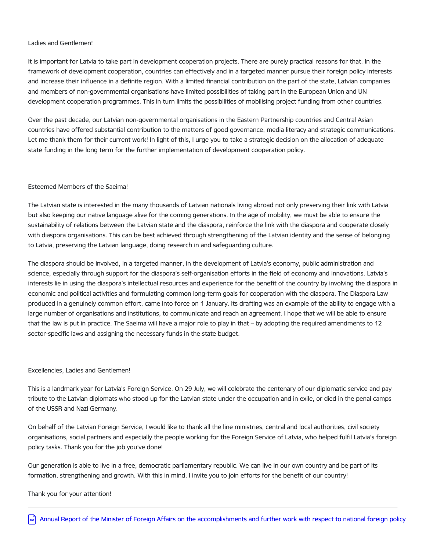## Ladies and Gentlemen!

It is important for Latvia to take part in development cooperation projects. There are purely practical reasons for that. In the framework of development cooperation, countries can effectively and in a targeted manner pursue their foreign policy interests and increase their influence in a definite region. With a limited financial contribution on the part of the state, Latvian companies and members of non-governmental organisations have limited possibilities of taking part in the European Union and UN development cooperation programmes. This in turn limits the possibilities of mobilising project funding from other countries.

Over the past decade, our Latvian non-governmental organisations in the Eastern Partnership countries and Central Asian countries have offered substantial contribution to the matters of good governance, media literacy and strategic communications. Let me thank them for their current work! In light of this, I urge you to take a strategic decision on the allocation of adequate state funding in the long term for the further implementation of development cooperation policy.

## Esteemed Members of the Saeima!

The Latvian state is interested in the many thousands of Latvian nationals living abroad not only preserving their link with Latvia but also keeping our native language alive for the coming generations. In the age of mobility, we must be able to ensure the sustainability of relations between the Latvian state and the diaspora, reinforce the link with the diaspora and cooperate closely with diaspora organisations. This can be best achieved through strengthening of the Latvian identity and the sense of belonging to Latvia, preserving the Latvian language, doing research in and safeguarding culture.

The diaspora should be involved, in a targeted manner, in the development of Latvia's economy, public administration and science, especially through support for the diaspora's self-organisation efforts in the field of economy and innovations. Latvia's interests lie in using the diaspora's intellectual resources and experience for the benefit of the country by involving the diaspora in economic and political activities and formulating common long-term goals for cooperation with the diaspora. The Diaspora Law produced in a genuinely common effort, came into force on 1 January. Its drafting was an example of the ability to engage with a large number of organisations and institutions, to communicate and reach an agreement. I hope that we will be able to ensure that the law is put in practice. The Saeima will have a major role to play in that – by adopting the required amendments to 12 sector-specific laws and assigning the necessary funds in the state budget.

## Excellencies, Ladies and Gentlemen!

This is a landmark year for Latvia's Foreign Service. On 29 July, we will celebrate the centenary of our diplomatic service and pay tribute to the Latvian diplomats who stood up for the Latvian state under the occupation and in exile, or died in the penal camps of the USSR and Nazi Germany.

On behalf of the Latvian Foreign Service, I would like to thank all the line ministries, central and local authorities, civil society organisations, social partners and especially the people working for the Foreign Service of Latvia, who helped fulfil Latvia's foreign policy tasks. Thank you for the job you've done!

Our generation is able to live in a free, democratic parliamentary republic. We can live in our own country and be part of its formation, strengthening and growth. With this in mind, I invite you to join efforts for the benefit of our country!

#### Thank you for your attention!